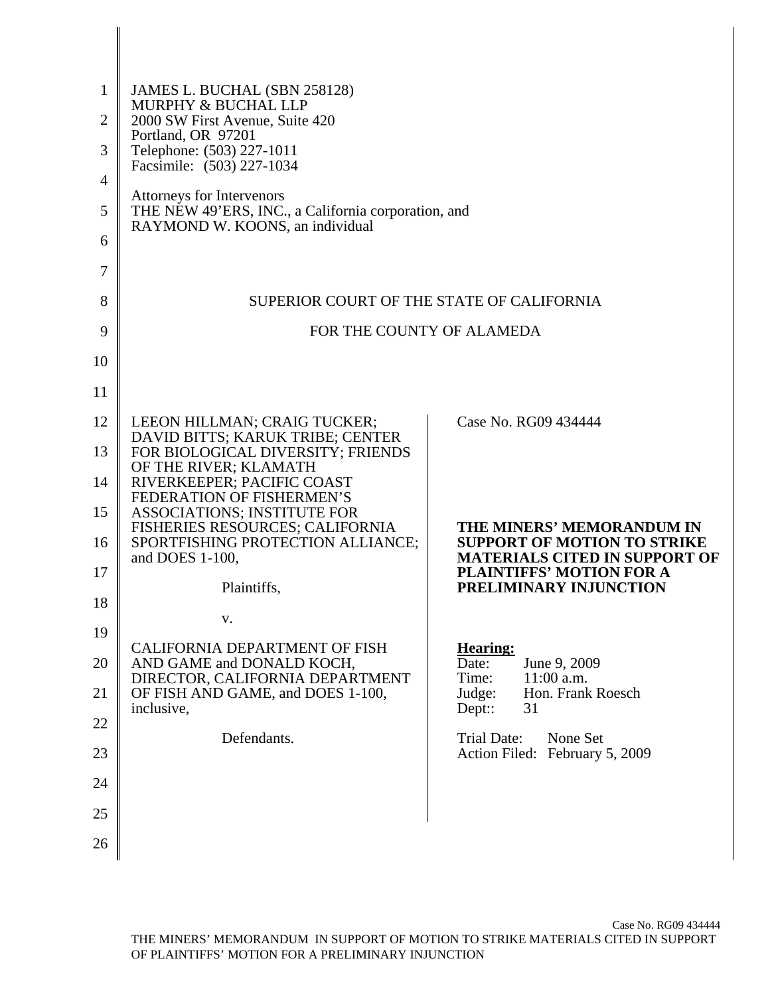| $\mathbf{1}$   | JAMES L. BUCHAL (SBN 258128)<br>MURPHY & BUCHAL LLP                                    |                                                                  |
|----------------|----------------------------------------------------------------------------------------|------------------------------------------------------------------|
| $\overline{2}$ | 2000 SW First Avenue, Suite 420<br>Portland, OR 97201                                  |                                                                  |
| 3              | Telephone: (503) 227-1011<br>Facsimile: (503) 227-1034                                 |                                                                  |
| 4              | Attorneys for Intervenors                                                              |                                                                  |
| 5              | THE NEW 49'ERS, INC., a California corporation, and<br>RAYMOND W. KOONS, an individual |                                                                  |
| 6              |                                                                                        |                                                                  |
| 7              |                                                                                        |                                                                  |
| 8              | SUPERIOR COURT OF THE STATE OF CALIFORNIA                                              |                                                                  |
| 9              | FOR THE COUNTY OF ALAMEDA                                                              |                                                                  |
| 10             |                                                                                        |                                                                  |
| 11             |                                                                                        |                                                                  |
| 12             | LEEON HILLMAN; CRAIG TUCKER;                                                           | Case No. RG09 434444                                             |
| 13             | DAVID BITTS; KARUK TRIBE; CENTER<br>FOR BIOLOGICAL DIVERSITY; FRIENDS                  |                                                                  |
| 14             | OF THE RIVER; KLAMATH<br>RIVERKEEPER; PACIFIC COAST                                    |                                                                  |
| 15             | FEDERATION OF FISHERMEN'S<br><b>ASSOCIATIONS; INSTITUTE FOR</b>                        |                                                                  |
| 16             | FISHERIES RESOURCES; CALIFORNIA<br>SPORTFISHING PROTECTION ALLIANCE;                   | THE MINERS' MEMORANDUM IN<br><b>SUPPORT OF MOTION TO STRIKE</b>  |
| 17             | and DOES 1-100,                                                                        | <b>MATERIALS CITED IN SUPPORT OF</b><br>PLAINTIFFS' MOTION FOR A |
| 18             | Plaintiffs,                                                                            | PRELIMINARY INJUNCTION                                           |
|                | v.                                                                                     |                                                                  |
| 19             | CALIFORNIA DEPARTMENT OF FISH                                                          | <b>Hearing:</b>                                                  |
| 20             | AND GAME and DONALD KOCH,<br>DIRECTOR, CALIFORNIA DEPARTMENT                           | June 9, 2009<br>Date:<br>11:00 a.m.<br>Time:                     |
| 21             | OF FISH AND GAME, and DOES 1-100,<br>inclusive,                                        | Hon. Frank Roesch<br>Judge:<br>$Dept:$ :<br>31                   |
| 22             | Defendants.                                                                            | Trial Date:<br>None Set                                          |
| 23             |                                                                                        | Action Filed: February 5, 2009                                   |
| 24             |                                                                                        |                                                                  |
| 25             |                                                                                        |                                                                  |
| 26             |                                                                                        |                                                                  |

 $\mathsf I$  $\mathsf{l}$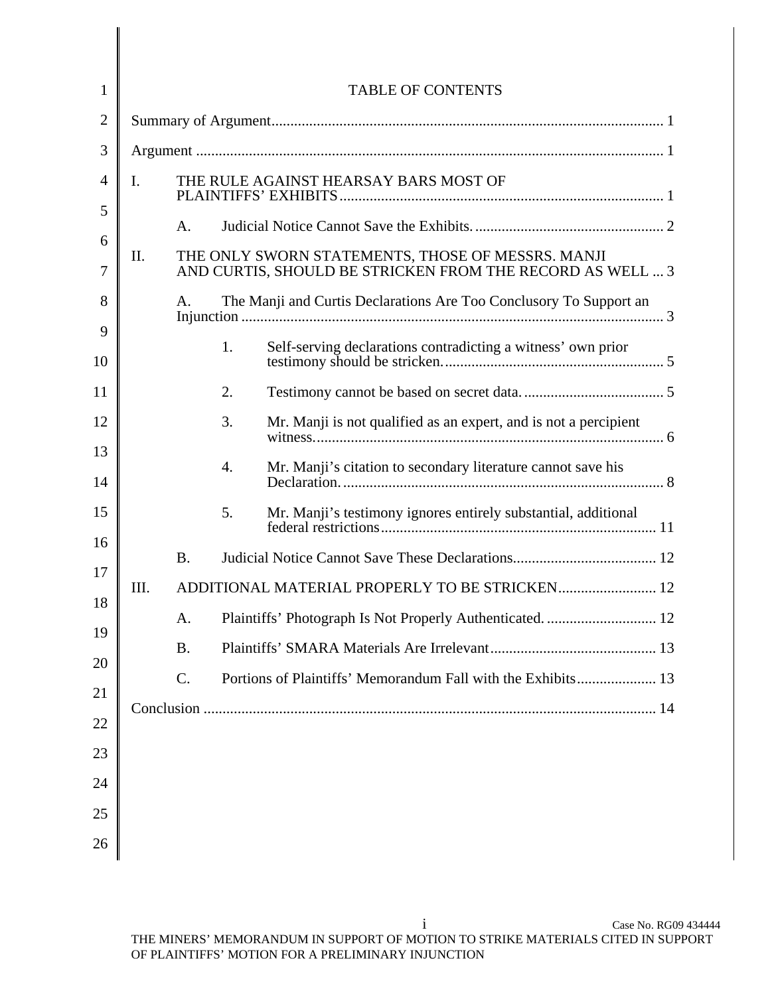| $\mathbf{1}$        | <b>TABLE OF CONTENTS</b> |                                       |    |                                                                                                                |
|---------------------|--------------------------|---------------------------------------|----|----------------------------------------------------------------------------------------------------------------|
| $\overline{2}$      |                          |                                       |    |                                                                                                                |
| 3                   |                          |                                       |    |                                                                                                                |
| 4                   | I.                       | THE RULE AGAINST HEARSAY BARS MOST OF |    |                                                                                                                |
| 5                   |                          | A.                                    |    |                                                                                                                |
| 6<br>$\overline{7}$ | Π.                       |                                       |    | THE ONLY SWORN STATEMENTS, THOSE OF MESSRS. MANJI<br>AND CURTIS, SHOULD BE STRICKEN FROM THE RECORD AS WELL  3 |
| 8                   |                          | A.                                    |    | The Manji and Curtis Declarations Are Too Conclusory To Support an                                             |
| 9<br>10             |                          |                                       | 1. | Self-serving declarations contradicting a witness' own prior                                                   |
| 11                  |                          |                                       | 2. |                                                                                                                |
| 12                  |                          |                                       | 3. | Mr. Manji is not qualified as an expert, and is not a percipient                                               |
| 13<br>14            |                          |                                       | 4. | Mr. Manji's citation to secondary literature cannot save his                                                   |
| 15                  |                          |                                       | 5. | Mr. Manji's testimony ignores entirely substantial, additional                                                 |
| 16                  |                          | <b>B.</b>                             |    |                                                                                                                |
| 17                  | III.                     |                                       |    | ADDITIONAL MATERIAL PROPERLY TO BE STRICKEN 12                                                                 |
| 18                  |                          | A.                                    |    |                                                                                                                |
| 19                  |                          | <b>B.</b>                             |    |                                                                                                                |
| 20                  |                          | C.                                    |    |                                                                                                                |
| 21                  |                          |                                       |    |                                                                                                                |
| 22                  |                          |                                       |    |                                                                                                                |
| 23                  |                          |                                       |    |                                                                                                                |
| 24                  |                          |                                       |    |                                                                                                                |
| 25                  |                          |                                       |    |                                                                                                                |
| 26                  |                          |                                       |    |                                                                                                                |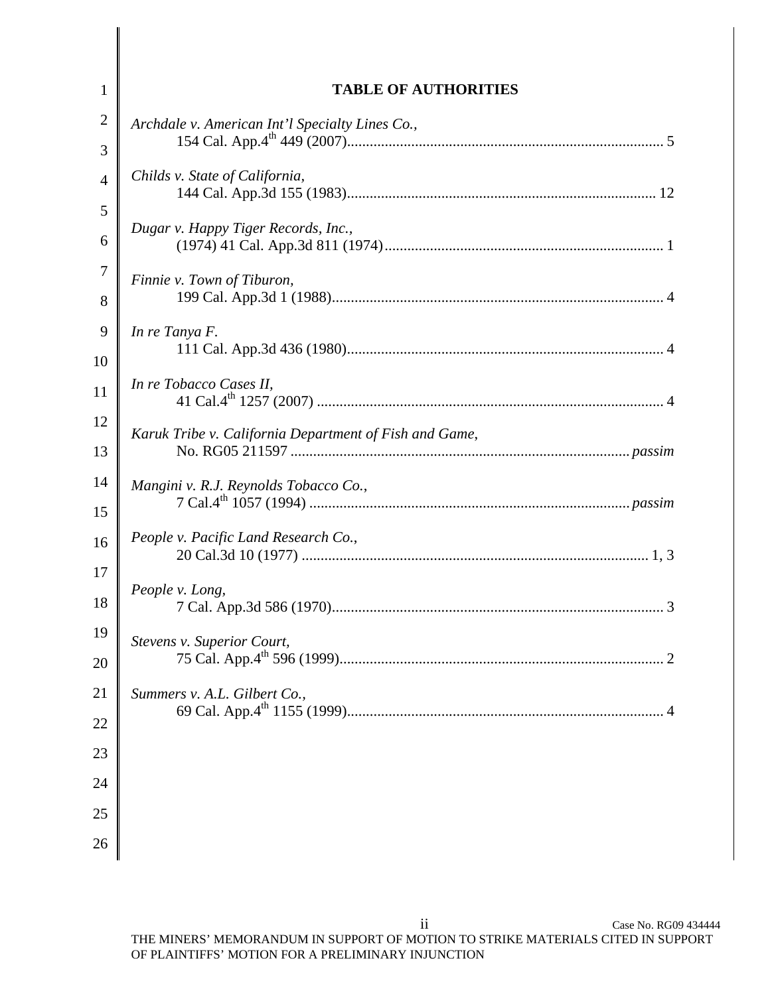| $\mathbf{1}$        | <b>TABLE OF AUTHORITIES</b>                            |
|---------------------|--------------------------------------------------------|
| $\overline{2}$<br>3 | Archdale v. American Int'l Specialty Lines Co.,        |
| $\overline{4}$      | Childs v. State of California,                         |
| 5<br>6              | Dugar v. Happy Tiger Records, Inc.,                    |
| $\tau$<br>8         | Finnie v. Town of Tiburon,                             |
| 9<br>10             | In re Tanya F.                                         |
| 11                  | In re Tobacco Cases II,                                |
| 12<br>13            | Karuk Tribe v. California Department of Fish and Game, |
| 14<br>15            | Mangini v. R.J. Reynolds Tobacco Co.,                  |
| 16                  | People v. Pacific Land Research Co.,                   |
| 17<br>18            | People v. Long,                                        |
| 19<br>20            | <b>Stevens v. Superior Court,</b>                      |
| 21                  | Summers v. A.L. Gilbert Co.,                           |
| 22                  |                                                        |
| 23                  |                                                        |
| 24                  |                                                        |
| 25<br>26            |                                                        |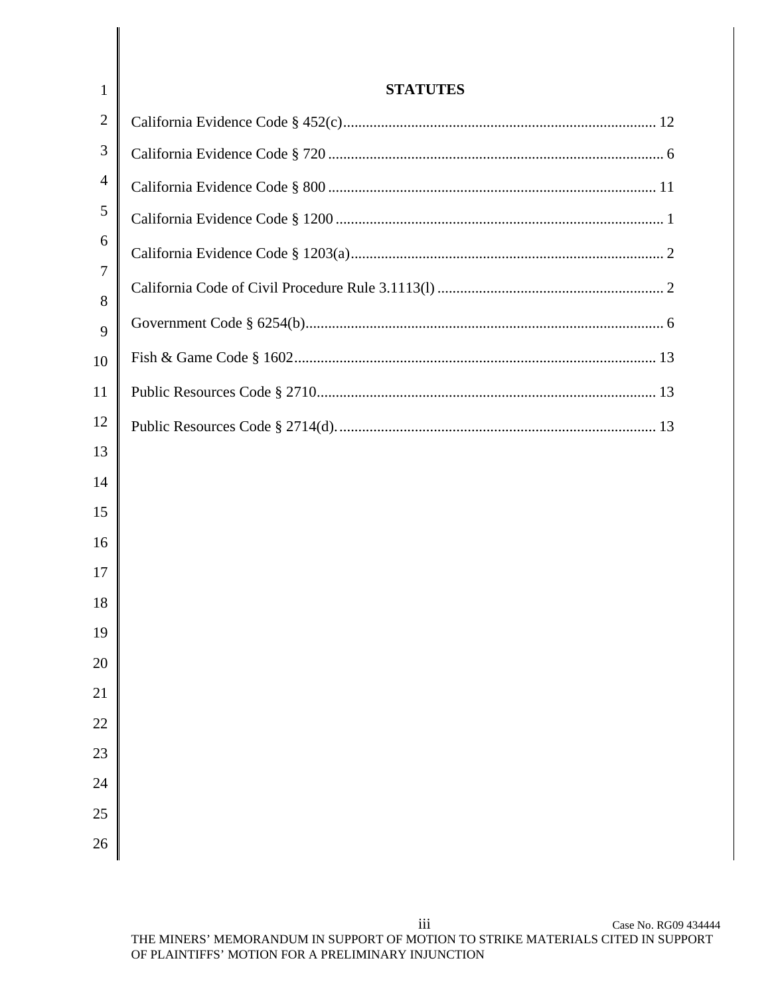| $\mathbf{1}$   | <b>STATUTES</b> |
|----------------|-----------------|
| $\overline{2}$ |                 |
| 3              |                 |
| 4              |                 |
| 5              |                 |
| 6              |                 |
| 7<br>8         |                 |
| 9              |                 |
| 10             |                 |
| 11             |                 |
| 12             |                 |
| 13             |                 |
| 14             |                 |
| 15             |                 |
| 16             |                 |
| 17             |                 |
| 18             |                 |
| 19<br>20       |                 |
| 21             |                 |
| 22             |                 |
| 23             |                 |
| 24             |                 |
| 25             |                 |
| 26             |                 |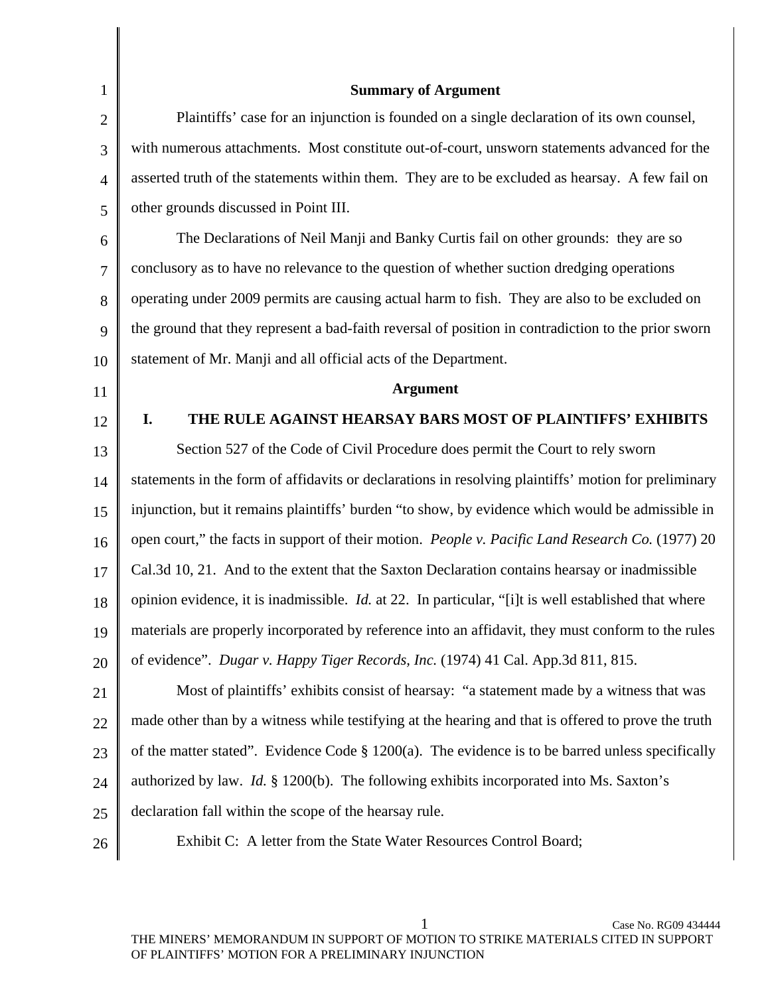| $\mathbf{1}$   | <b>Summary of Argument</b>                                                                                  |
|----------------|-------------------------------------------------------------------------------------------------------------|
| $\overline{2}$ | Plaintiffs' case for an injunction is founded on a single declaration of its own counsel,                   |
| 3              | with numerous attachments. Most constitute out-of-court, unsworn statements advanced for the                |
| $\overline{4}$ | asserted truth of the statements within them. They are to be excluded as hearsay. A few fail on             |
| 5              | other grounds discussed in Point III.                                                                       |
| 6              | The Declarations of Neil Manji and Banky Curtis fail on other grounds: they are so                          |
| 7              | conclusory as to have no relevance to the question of whether suction dredging operations                   |
| 8              | operating under 2009 permits are causing actual harm to fish. They are also to be excluded on               |
| 9              | the ground that they represent a bad-faith reversal of position in contradiction to the prior sworn         |
| 10             | statement of Mr. Manji and all official acts of the Department.                                             |
| 11             | <b>Argument</b>                                                                                             |
| 12             | THE RULE AGAINST HEARSAY BARS MOST OF PLAINTIFFS' EXHIBITS<br>I.                                            |
| 13             | Section 527 of the Code of Civil Procedure does permit the Court to rely sworn                              |
| 14             | statements in the form of affidavits or declarations in resolving plaintiffs' motion for preliminary        |
| 15             | injunction, but it remains plaintiffs' burden "to show, by evidence which would be admissible in            |
| 16             | open court," the facts in support of their motion. People v. Pacific Land Research Co. (1977) 20            |
| 17             | Cal.3d 10, 21. And to the extent that the Saxton Declaration contains hearsay or inadmissible               |
| 18             | opinion evidence, it is inadmissible. <i>Id.</i> at 22. In particular, "[i]t is well established that where |
| 19             | materials are properly incorporated by reference into an affidavit, they must conform to the rules          |
| 20             | of evidence". Dugar v. Happy Tiger Records, Inc. (1974) 41 Cal. App.3d 811, 815.                            |
| 21             | Most of plaintiffs' exhibits consist of hearsay: "a statement made by a witness that was                    |
| 22             | made other than by a witness while testifying at the hearing and that is offered to prove the truth         |
| 23             | of the matter stated". Evidence Code $\S$ 1200(a). The evidence is to be barred unless specifically         |
| 24             | authorized by law. <i>Id.</i> § 1200(b). The following exhibits incorporated into Ms. Saxton's              |
| 25             | declaration fall within the scope of the hearsay rule.                                                      |
| 26             | Exhibit C: A letter from the State Water Resources Control Board;                                           |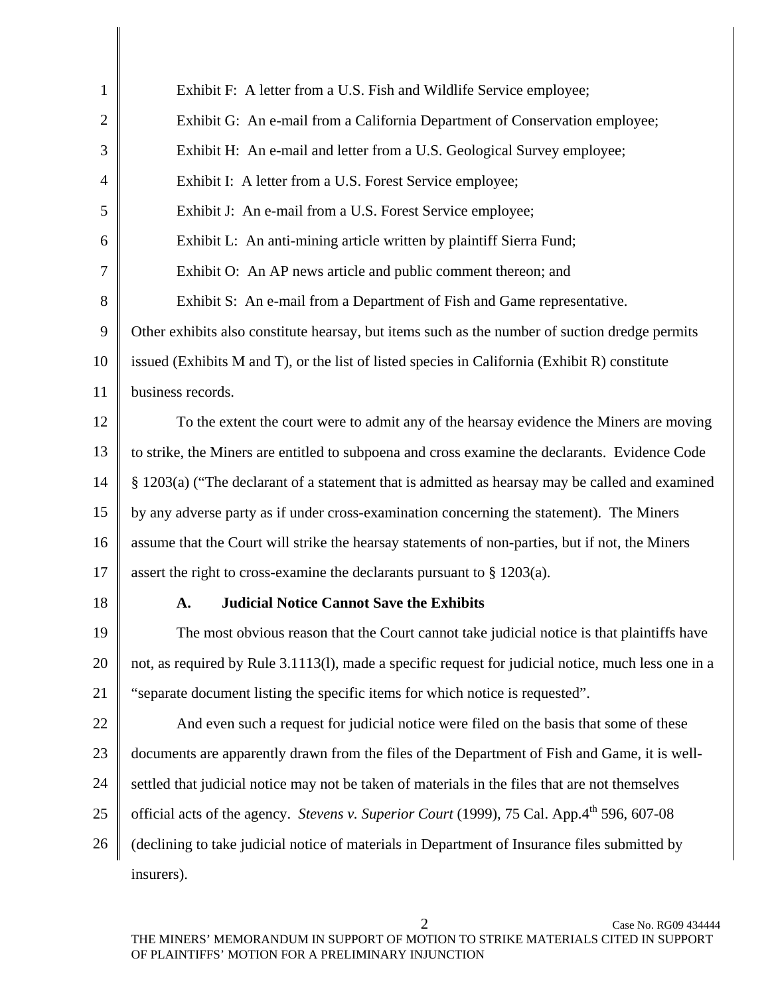| $\mathbf{1}$   | Exhibit F: A letter from a U.S. Fish and Wildlife Service employee;                                 |
|----------------|-----------------------------------------------------------------------------------------------------|
| $\overline{2}$ | Exhibit G: An e-mail from a California Department of Conservation employee;                         |
| 3              | Exhibit H: An e-mail and letter from a U.S. Geological Survey employee;                             |
| 4              | Exhibit I: A letter from a U.S. Forest Service employee;                                            |
| 5              | Exhibit J: An e-mail from a U.S. Forest Service employee;                                           |
| 6              | Exhibit L: An anti-mining article written by plaintiff Sierra Fund;                                 |
| 7              | Exhibit O: An AP news article and public comment thereon; and                                       |
| 8              | Exhibit S: An e-mail from a Department of Fish and Game representative.                             |
| 9              | Other exhibits also constitute hearsay, but items such as the number of suction dredge permits      |
| 10             | issued (Exhibits M and T), or the list of listed species in California (Exhibit R) constitute       |
| 11             | business records.                                                                                   |
| 12             | To the extent the court were to admit any of the hearsay evidence the Miners are moving             |
| 13             | to strike, the Miners are entitled to subpoena and cross examine the declarants. Evidence Code      |
| 14             | § 1203(a) ("The declarant of a statement that is admitted as hearsay may be called and examined     |
| 15             | by any adverse party as if under cross-examination concerning the statement). The Miners            |
| 16             | assume that the Court will strike the hearsay statements of non-parties, but if not, the Miners     |
| 17             | assert the right to cross-examine the declarants pursuant to $\S 1203(a)$ .                         |
| 18             | <b>Judicial Notice Cannot Save the Exhibits</b><br>A.                                               |
| 19             | The most obvious reason that the Court cannot take judicial notice is that plaintiffs have          |
| 20             | not, as required by Rule 3.1113(1), made a specific request for judicial notice, much less one in a |
| 21             | "separate document listing the specific items for which notice is requested".                       |
| 22             | And even such a request for judicial notice were filed on the basis that some of these              |
| 23             | documents are apparently drawn from the files of the Department of Fish and Game, it is well-       |
| 24             | settled that judicial notice may not be taken of materials in the files that are not themselves     |
| 25             | official acts of the agency. Stevens v. Superior Court (1999), 75 Cal. App.4th 596, 607-08          |
| 26             | (declining to take judicial notice of materials in Department of Insurance files submitted by       |
|                | insurers).                                                                                          |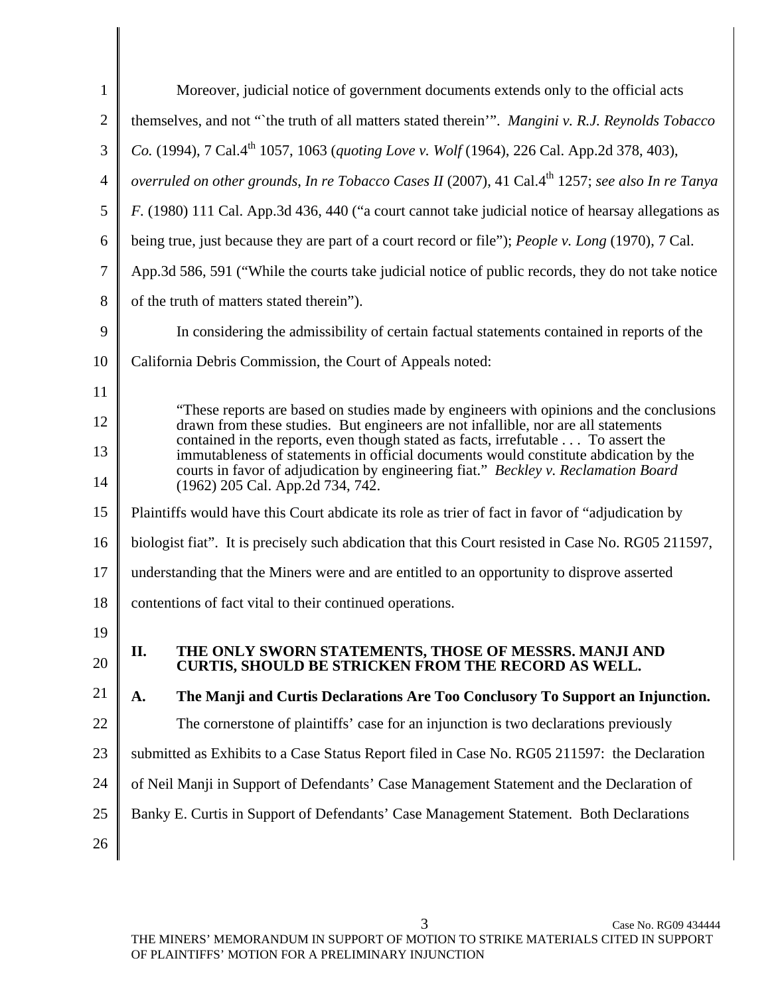| $\mathbf{1}$   | Moreover, judicial notice of government documents extends only to the official acts                                                                                                                                                                            |
|----------------|----------------------------------------------------------------------------------------------------------------------------------------------------------------------------------------------------------------------------------------------------------------|
| $\overline{2}$ | themselves, and not "the truth of all matters stated therein". Mangini v. R.J. Reynolds Tobacco                                                                                                                                                                |
| 3              | Co. (1994), 7 Cal.4 <sup>th</sup> 1057, 1063 (quoting Love v. Wolf (1964), 226 Cal. App.2d 378, 403),                                                                                                                                                          |
| 4              | overruled on other grounds, In re Tobacco Cases II (2007), 41 Cal.4 <sup>th</sup> 1257; see also In re Tanya                                                                                                                                                   |
| 5              | F. (1980) 111 Cal. App.3d 436, 440 ("a court cannot take judicial notice of hearsay allegations as                                                                                                                                                             |
| 6              | being true, just because they are part of a court record or file"); People v. Long (1970), 7 Cal.                                                                                                                                                              |
| 7              | App.3d 586, 591 ("While the courts take judicial notice of public records, they do not take notice                                                                                                                                                             |
| 8              | of the truth of matters stated therein").                                                                                                                                                                                                                      |
| 9              | In considering the admissibility of certain factual statements contained in reports of the                                                                                                                                                                     |
| 10             | California Debris Commission, the Court of Appeals noted:                                                                                                                                                                                                      |
| 11             |                                                                                                                                                                                                                                                                |
| 12             | "These reports are based on studies made by engineers with opinions and the conclusions<br>drawn from these studies. But engineers are not infallible, nor are all statements                                                                                  |
| 13             | contained in the reports, even though stated as facts, irrefutable To assert the<br>immutableness of statements in official documents would constitute abdication by the<br>courts in favor of adjudication by engineering fiat." Beckley v. Reclamation Board |
| 14             | (1962) 205 Cal. App.2d 734, 742.                                                                                                                                                                                                                               |
| 15             | Plaintiffs would have this Court abdicate its role as trier of fact in favor of "adjudication by                                                                                                                                                               |
| 16             | biologist fiat". It is precisely such abdication that this Court resisted in Case No. RG05 211597,                                                                                                                                                             |
| 17             | understanding that the Miners were and are entitled to an opportunity to disprove asserted                                                                                                                                                                     |
| 18             | contentions of fact vital to their continued operations.                                                                                                                                                                                                       |
| 19             |                                                                                                                                                                                                                                                                |
| 20             | II.<br>THE ONLY SWORN STATEMENTS, THOSE OF MESSRS. MANJI AND<br><b>CURTIS, SHOULD BE STRICKEN FROM THE RECORD AS WELL.</b>                                                                                                                                     |
| 21             | The Manji and Curtis Declarations Are Too Conclusory To Support an Injunction.<br>A.                                                                                                                                                                           |
| 22             | The cornerstone of plaintiffs' case for an injunction is two declarations previously                                                                                                                                                                           |
| 23             | submitted as Exhibits to a Case Status Report filed in Case No. RG05 211597: the Declaration                                                                                                                                                                   |
| 24             | of Neil Manji in Support of Defendants' Case Management Statement and the Declaration of                                                                                                                                                                       |
| 25             | Banky E. Curtis in Support of Defendants' Case Management Statement. Both Declarations                                                                                                                                                                         |
| 26             |                                                                                                                                                                                                                                                                |
|                |                                                                                                                                                                                                                                                                |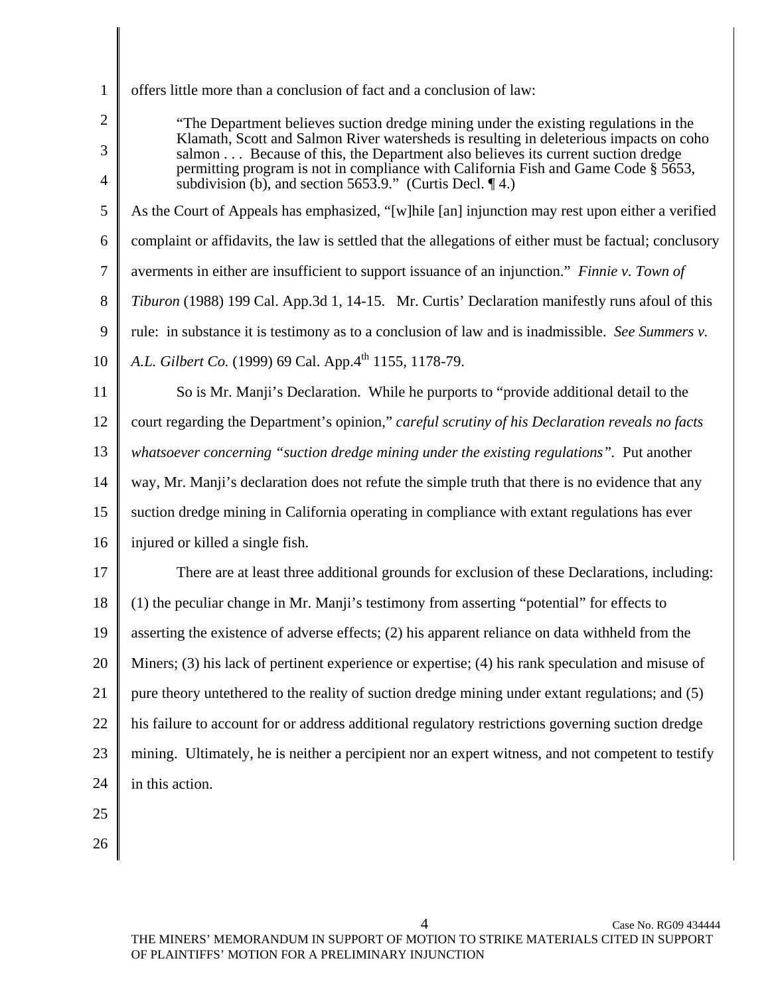| 1  | offers little more than a conclusion of fact and a conclusion of law:                                                                                                     |
|----|---------------------------------------------------------------------------------------------------------------------------------------------------------------------------|
| 2  | "The Department believes suction dredge mining under the existing regulations in the                                                                                      |
| 3  | Klamath, Scott and Salmon River watersheds is resulting in deleterious impacts on coho<br>salmon Because of this, the Department also believes its current suction dredge |
| 4  | permitting program is not in compliance with California Fish and Game Code § 5653,<br>subdivision (b), and section 5653.9." (Curtis Decl. $\P$ 4.)                        |
| 5  | As the Court of Appeals has emphasized, "[w]hile [an] injunction may rest upon either a verified                                                                          |
| 6  | complaint or affidavits, the law is settled that the allegations of either must be factual; conclusory                                                                    |
| 7  | averments in either are insufficient to support issuance of an injunction." Finnie v. Town of                                                                             |
| 8  | Tiburon (1988) 199 Cal. App.3d 1, 14-15. Mr. Curtis' Declaration manifestly runs afoul of this                                                                            |
| 9  | rule: in substance it is testimony as to a conclusion of law and is inadmissible. See Summers v.                                                                          |
| 10 | A.L. Gilbert Co. (1999) 69 Cal. App.4 <sup>th</sup> 1155, 1178-79.                                                                                                        |
| 11 | So is Mr. Manji's Declaration. While he purports to "provide additional detail to the                                                                                     |
| 12 | court regarding the Department's opinion," careful scrutiny of his Declaration reveals no facts                                                                           |
| 13 | whatsoever concerning "suction dredge mining under the existing regulations". Put another                                                                                 |
| 14 | way, Mr. Manji's declaration does not refute the simple truth that there is no evidence that any                                                                          |
| 15 | suction dredge mining in California operating in compliance with extant regulations has ever                                                                              |
| 16 | injured or killed a single fish.                                                                                                                                          |
| 17 | There are at least three additional grounds for exclusion of these Declarations, including:                                                                               |
| 18 | (1) the peculiar change in Mr. Manji's testimony from asserting "potential" for effects to                                                                                |
| 19 | asserting the existence of adverse effects; (2) his apparent reliance on data withheld from the                                                                           |
| 20 | Miners; (3) his lack of pertinent experience or expertise; (4) his rank speculation and misuse of                                                                         |
| 21 | pure theory unterthered to the reality of suction dredge mining under extant regulations; and (5)                                                                         |
| 22 | his failure to account for or address additional regulatory restrictions governing suction dredge                                                                         |
| 23 | mining. Ultimately, he is neither a percipient nor an expert witness, and not competent to testify                                                                        |
| 24 | in this action.                                                                                                                                                           |
| 25 |                                                                                                                                                                           |
| 26 |                                                                                                                                                                           |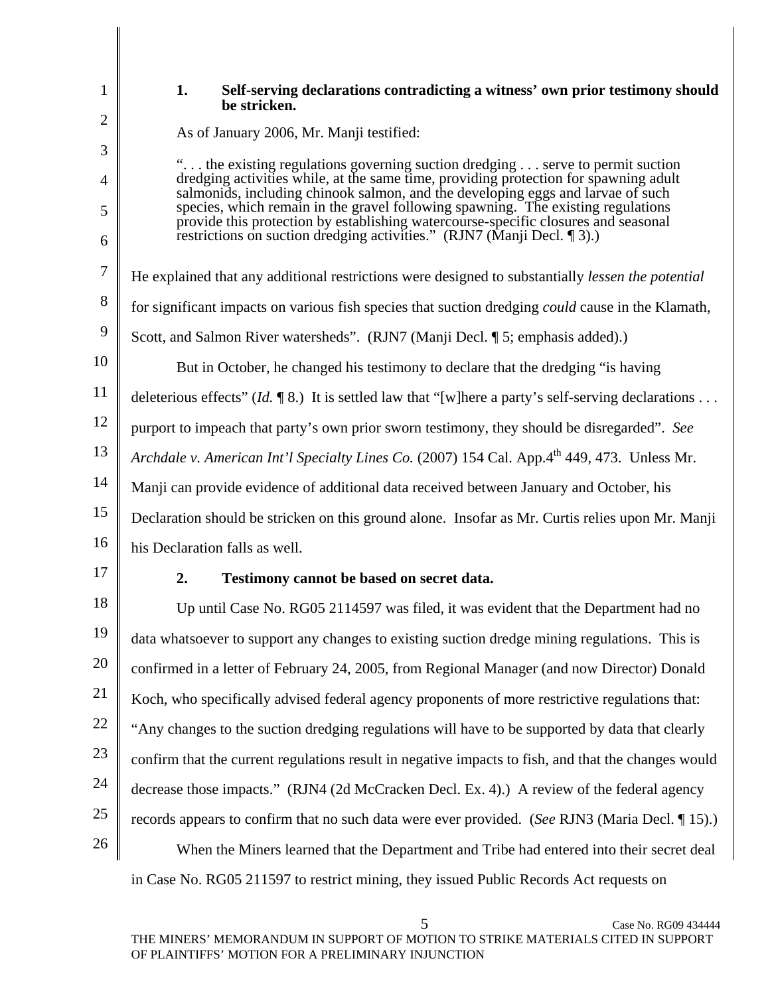2

3

4

5

6

7

8

10

1

## **1. Self-serving declarations contradicting a witness' own prior testimony should be stricken.**

As of January 2006, Mr. Manji testified:

". . . the existing regulations governing suction dredging . . . serve to permit suction dredging activities while, at the same time, providing protection for spawning adult salmonids, including chinook salmon, and the developing eggs and larvae of such species, which remain in the gravel following spawning. The existing regulations provide this protection by establishing watercourse-specific closures and seasonal restrictions on suction dredging activities." (RJN7 (Manji Decl. ¶ 3).)

He explained that any additional restrictions were designed to substantially *lessen the potential*

for significant impacts on various fish species that suction dredging *could* cause in the Klamath,

9 Scott, and Salmon River watersheds". (RJN7 (Manji Decl. ¶ 5; emphasis added).)

But in October, he changed his testimony to declare that the dredging "is having

11 deleterious effects" (*Id.* 18.) It is settled law that "[w]here a party's self-serving declarations ...

12 purport to impeach that party's own prior sworn testimony, they should be disregarded". *See* 

13 *Archdale v. American Int'l Specialty Lines Co.* (2007) 154 Cal. App.4<sup>th</sup> 449, 473. Unless Mr.

14 Manji can provide evidence of additional data received between January and October, his

15 Declaration should be stricken on this ground alone. Insofar as Mr. Curtis relies upon Mr. Manji

16 his Declaration falls as well.

17

## **2. Testimony cannot be based on secret data.**

18 19 20 21 22 23 24 25 26 Up until Case No. RG05 2114597 was filed, it was evident that the Department had no data whatsoever to support any changes to existing suction dredge mining regulations. This is confirmed in a letter of February 24, 2005, from Regional Manager (and now Director) Donald Koch, who specifically advised federal agency proponents of more restrictive regulations that: "Any changes to the suction dredging regulations will have to be supported by data that clearly confirm that the current regulations result in negative impacts to fish, and that the changes would decrease those impacts." (RJN4 (2d McCracken Decl. Ex. 4).) A review of the federal agency records appears to confirm that no such data were ever provided. (*See* RJN3 (Maria Decl. ¶ 15).) When the Miners learned that the Department and Tribe had entered into their secret deal

in Case No. RG05 211597 to restrict mining, they issued Public Records Act requests on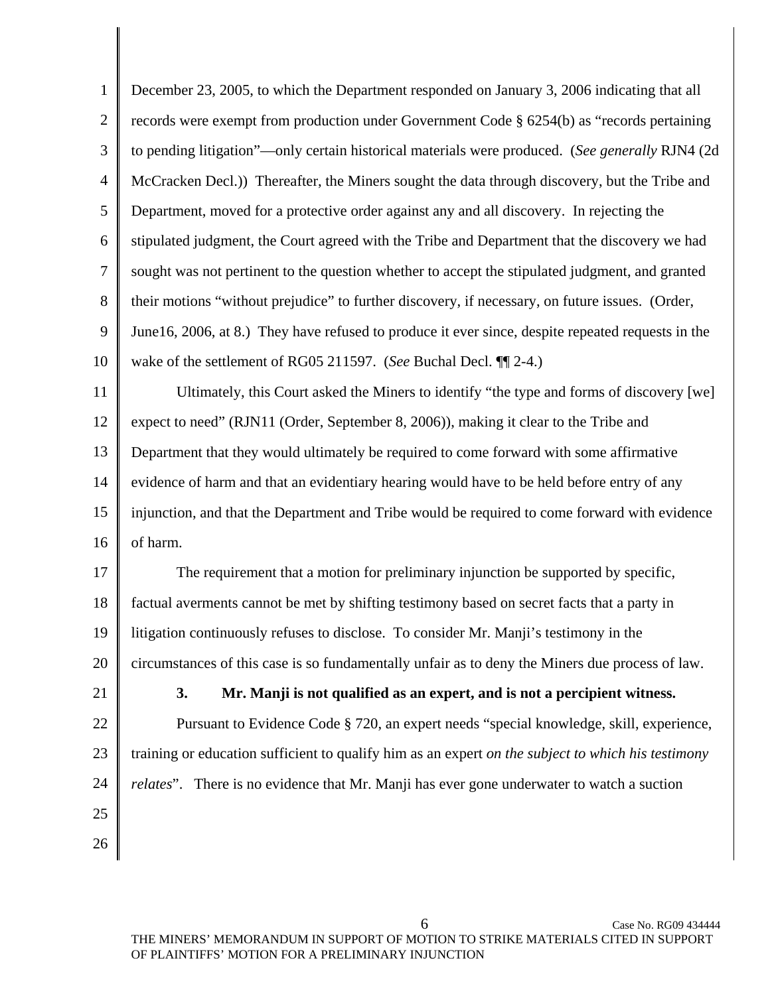| $\mathbf{1}$   | December 23, 2005, to which the Department responded on January 3, 2006 indicating that all        |
|----------------|----------------------------------------------------------------------------------------------------|
| $\overline{2}$ | records were exempt from production under Government Code § 6254(b) as "records pertaining         |
| 3              | to pending litigation"—only certain historical materials were produced. (See generally RJN4 (2d    |
| 4              | McCracken Decl.)) Thereafter, the Miners sought the data through discovery, but the Tribe and      |
| 5              | Department, moved for a protective order against any and all discovery. In rejecting the           |
| 6              | stipulated judgment, the Court agreed with the Tribe and Department that the discovery we had      |
| 7              | sought was not pertinent to the question whether to accept the stipulated judgment, and granted    |
| 8              | their motions "without prejudice" to further discovery, if necessary, on future issues. (Order,    |
| 9              | June 16, 2006, at 8.) They have refused to produce it ever since, despite repeated requests in the |
| 10             | wake of the settlement of RG05 211597. (See Buchal Decl. ¶[2-4.)                                   |
| 11             | Ultimately, this Court asked the Miners to identify "the type and forms of discovery [we]          |
| 12             | expect to need" (RJN11 (Order, September 8, 2006)), making it clear to the Tribe and               |
| 13             | Department that they would ultimately be required to come forward with some affirmative            |
| 14             | evidence of harm and that an evidentiary hearing would have to be held before entry of any         |
| 15             | injunction, and that the Department and Tribe would be required to come forward with evidence      |
| 16             | of harm.                                                                                           |
| 17             | The requirement that a motion for preliminary injunction be supported by specific,                 |
| 18             | factual averments cannot be met by shifting testimony based on secret facts that a party in        |
| 19             | litigation continuously refuses to disclose. To consider Mr. Manji's testimony in the              |
| 20             | circumstances of this case is so fundamentally unfair as to deny the Miners due process of law.    |
| 21             | 3.<br>Mr. Manji is not qualified as an expert, and is not a percipient witness.                    |
| 22             | Pursuant to Evidence Code § 720, an expert needs "special knowledge, skill, experience,            |
| 23             | training or education sufficient to qualify him as an expert on the subject to which his testimony |
| 24             | <i>relates</i> ". There is no evidence that Mr. Manji has ever gone underwater to watch a suction  |
| 25             |                                                                                                    |
| 26             |                                                                                                    |
|                |                                                                                                    |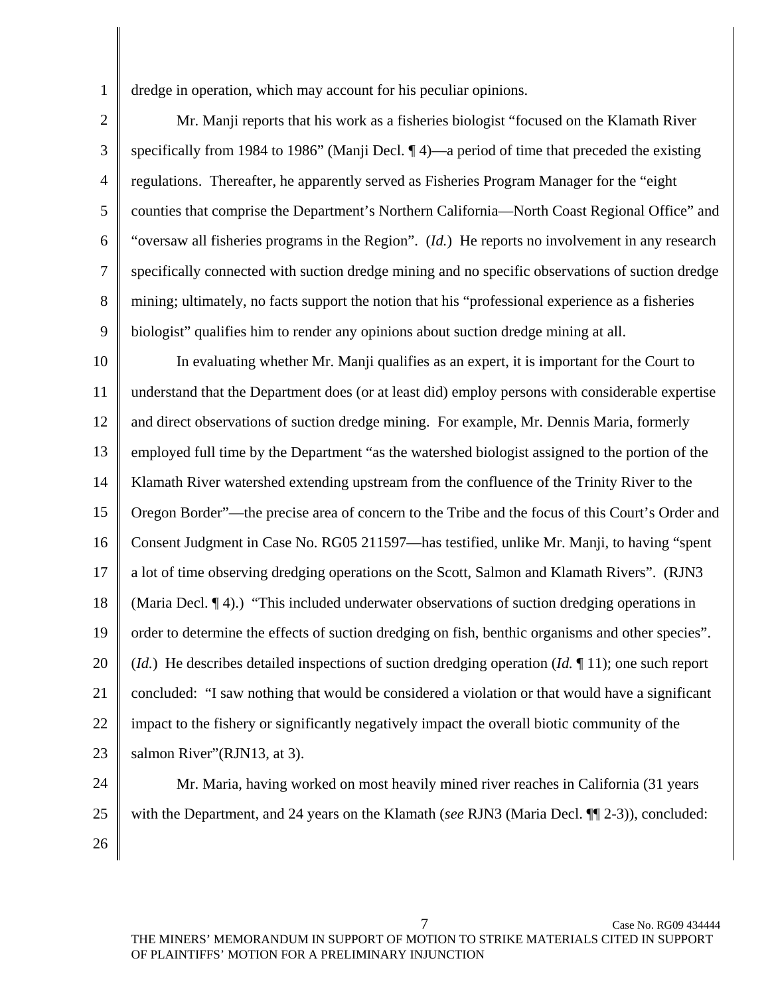dredge in operation, which may account for his peculiar opinions.

2 3 4 5 6 7 8 9 Mr. Manji reports that his work as a fisheries biologist "focused on the Klamath River specifically from 1984 to 1986" (Manji Decl.  $\P$ 4)—a period of time that preceded the existing regulations. Thereafter, he apparently served as Fisheries Program Manager for the "eight counties that comprise the Department's Northern California—North Coast Regional Office" and "oversaw all fisheries programs in the Region". (*Id.*) He reports no involvement in any research specifically connected with suction dredge mining and no specific observations of suction dredge mining; ultimately, no facts support the notion that his "professional experience as a fisheries biologist" qualifies him to render any opinions about suction dredge mining at all.

10 11 12 13 14 15 16 17 18 19 20 21 22 23 In evaluating whether Mr. Manji qualifies as an expert, it is important for the Court to understand that the Department does (or at least did) employ persons with considerable expertise and direct observations of suction dredge mining. For example, Mr. Dennis Maria, formerly employed full time by the Department "as the watershed biologist assigned to the portion of the Klamath River watershed extending upstream from the confluence of the Trinity River to the Oregon Border"—the precise area of concern to the Tribe and the focus of this Court's Order and Consent Judgment in Case No. RG05 211597—has testified, unlike Mr. Manji, to having "spent a lot of time observing dredging operations on the Scott, Salmon and Klamath Rivers". (RJN3 (Maria Decl. ¶ 4).) "This included underwater observations of suction dredging operations in order to determine the effects of suction dredging on fish, benthic organisms and other species". (*Id.*) He describes detailed inspections of suction dredging operation (*Id.* ¶ 11); one such report concluded: "I saw nothing that would be considered a violation or that would have a significant impact to the fishery or significantly negatively impact the overall biotic community of the salmon River"(RJN13, at 3).

24 25

1

Mr. Maria, having worked on most heavily mined river reaches in California (31 years with the Department, and 24 years on the Klamath (*see* RJN3 (Maria Decl. ¶¶ 2-3)), concluded:

26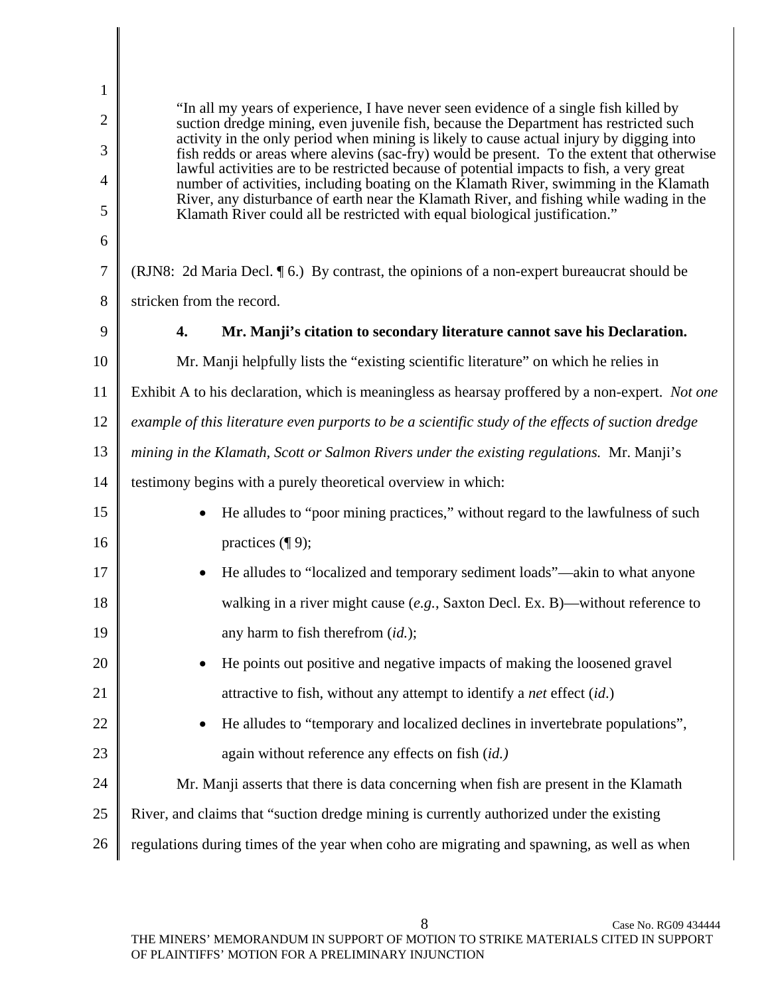1 2 3 4 5 6 7 8 9 10 11 12 13 14 15 16 17 18 19 20 21 22 23 24 25 26 "In all my years of experience, I have never seen evidence of a single fish killed by suction dredge mining, even juvenile fish, because the Department has restricted such activity in the only period when mining is likely to cause actual injury by digging into fish redds or areas where alevins (sac-fry) would be present. To the extent that otherwise lawful activities are to be restricted because of potential impacts to fish, a very great number of activities, including boating on the Klamath River, swimming in the Klamath River, any disturbance of earth near the Klamath River, and fishing while wading in the Klamath River could all be restricted with equal biological justification." (RJN8: 2d Maria Decl. ¶ 6.) By contrast, the opinions of a non-expert bureaucrat should be stricken from the record. **4. Mr. Manji's citation to secondary literature cannot save his Declaration.**  Mr. Manji helpfully lists the "existing scientific literature" on which he relies in Exhibit A to his declaration, which is meaningless as hearsay proffered by a non-expert. *Not one example of this literature even purports to be a scientific study of the effects of suction dredge mining in the Klamath, Scott or Salmon Rivers under the existing regulations.* Mr. Manji's testimony begins with a purely theoretical overview in which: • He alludes to "poor mining practices," without regard to the lawfulness of such practices (¶ 9); • He alludes to "localized and temporary sediment loads"—akin to what anyone walking in a river might cause (*e.g.*, Saxton Decl. Ex. B)—without reference to any harm to fish therefrom (*id.*); • He points out positive and negative impacts of making the loosened gravel attractive to fish, without any attempt to identify a *net* effect (*id*.) • He alludes to "temporary and localized declines in invertebrate populations", again without reference any effects on fish (*id.)* Mr. Manji asserts that there is data concerning when fish are present in the Klamath River, and claims that "suction dredge mining is currently authorized under the existing regulations during times of the year when coho are migrating and spawning, as well as when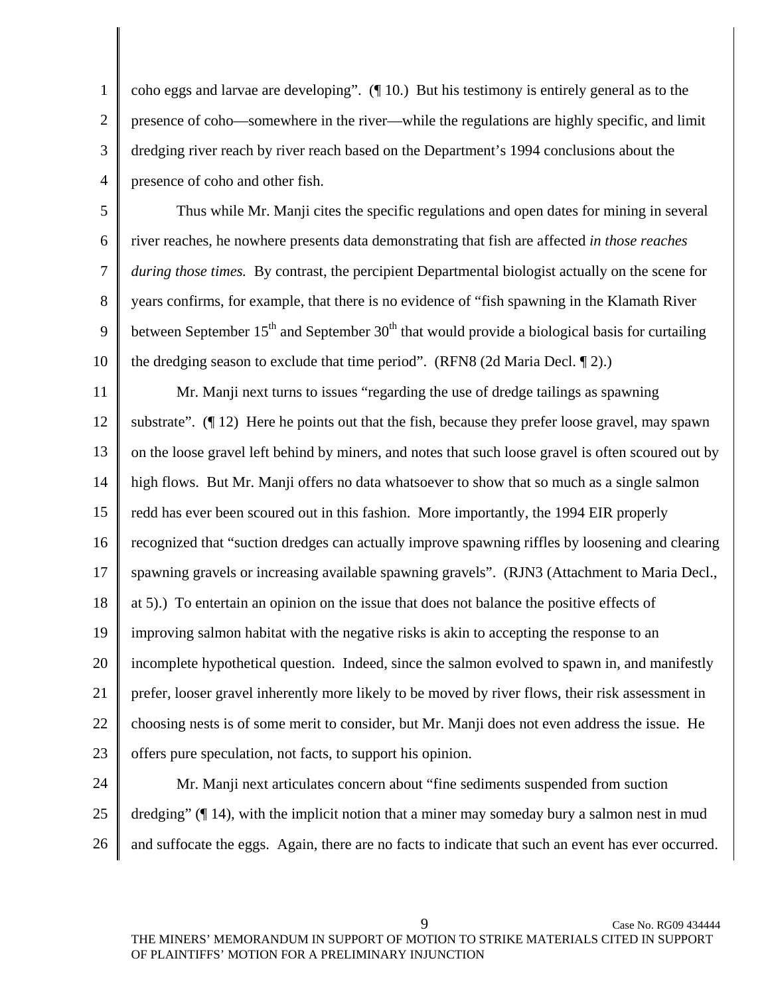1 2 3 4 coho eggs and larvae are developing". (¶ 10.) But his testimony is entirely general as to the presence of coho—somewhere in the river—while the regulations are highly specific, and limit dredging river reach by river reach based on the Department's 1994 conclusions about the presence of coho and other fish.

5 6 7 8 9 10 Thus while Mr. Manji cites the specific regulations and open dates for mining in several river reaches, he nowhere presents data demonstrating that fish are affected *in those reaches during those times.* By contrast, the percipient Departmental biologist actually on the scene for years confirms, for example, that there is no evidence of "fish spawning in the Klamath River between September  $15<sup>th</sup>$  and September  $30<sup>th</sup>$  that would provide a biological basis for curtailing the dredging season to exclude that time period". (RFN8 (2d Maria Decl. ¶ 2).)

11 12 13 14 15 16 17 18 19 20 21 22 23 Mr. Manji next turns to issues "regarding the use of dredge tailings as spawning substrate".  $(\P 12)$  Here he points out that the fish, because they prefer loose gravel, may spawn on the loose gravel left behind by miners, and notes that such loose gravel is often scoured out by high flows. But Mr. Manji offers no data whatsoever to show that so much as a single salmon redd has ever been scoured out in this fashion. More importantly, the 1994 EIR properly recognized that "suction dredges can actually improve spawning riffles by loosening and clearing spawning gravels or increasing available spawning gravels". (RJN3 (Attachment to Maria Decl., at 5).) To entertain an opinion on the issue that does not balance the positive effects of improving salmon habitat with the negative risks is akin to accepting the response to an incomplete hypothetical question. Indeed, since the salmon evolved to spawn in, and manifestly prefer, looser gravel inherently more likely to be moved by river flows, their risk assessment in choosing nests is of some merit to consider, but Mr. Manji does not even address the issue. He offers pure speculation, not facts, to support his opinion.

24 25 26 Mr. Manji next articulates concern about "fine sediments suspended from suction dredging" (¶ 14), with the implicit notion that a miner may someday bury a salmon nest in mud and suffocate the eggs. Again, there are no facts to indicate that such an event has ever occurred.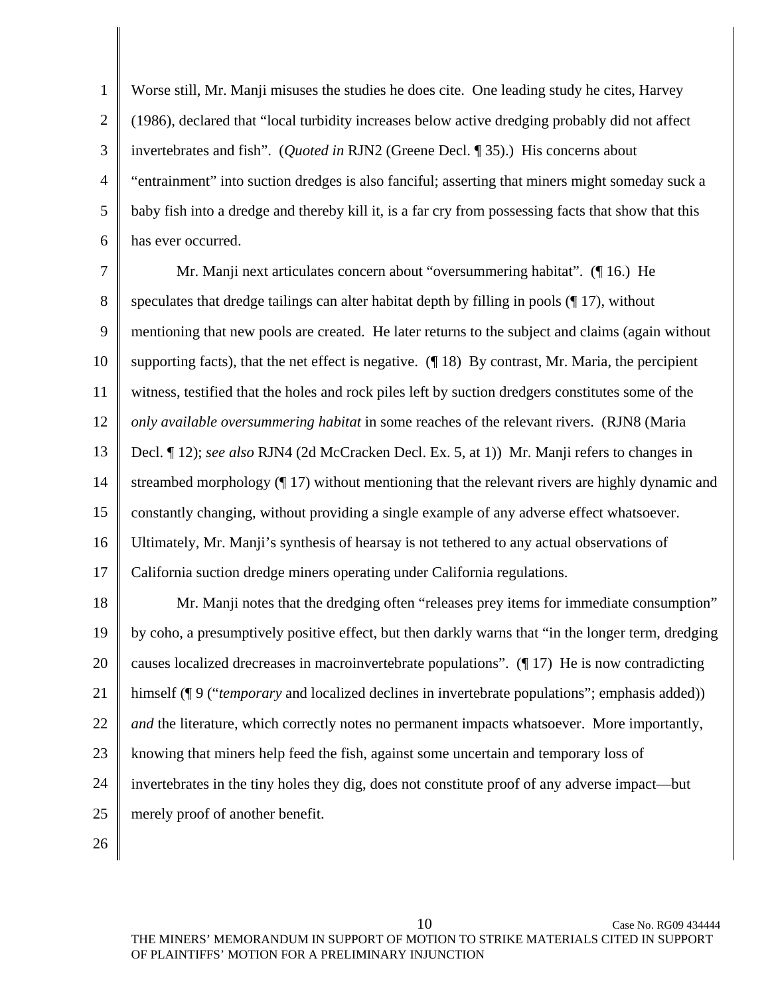1 2 3 4 5 6 Worse still, Mr. Manji misuses the studies he does cite. One leading study he cites, Harvey (1986), declared that "local turbidity increases below active dredging probably did not affect invertebrates and fish". (*Quoted in* RJN2 (Greene Decl. ¶ 35).) His concerns about "entrainment" into suction dredges is also fanciful; asserting that miners might someday suck a baby fish into a dredge and thereby kill it, is a far cry from possessing facts that show that this has ever occurred.

7 8 9 10 11 12 13 14 15 16 17 18 19 20 21 22 23 Mr. Manji next articulates concern about "oversummering habitat". (¶ 16.) He speculates that dredge tailings can alter habitat depth by filling in pools (¶ 17), without mentioning that new pools are created. He later returns to the subject and claims (again without supporting facts), that the net effect is negative.  $(\P 18)$  By contrast, Mr. Maria, the percipient witness, testified that the holes and rock piles left by suction dredgers constitutes some of the *only available oversummering habitat* in some reaches of the relevant rivers. (RJN8 (Maria Decl. ¶ 12); *see also* RJN4 (2d McCracken Decl. Ex. 5, at 1)) Mr. Manji refers to changes in streambed morphology (¶ 17) without mentioning that the relevant rivers are highly dynamic and constantly changing, without providing a single example of any adverse effect whatsoever. Ultimately, Mr. Manji's synthesis of hearsay is not tethered to any actual observations of California suction dredge miners operating under California regulations. Mr. Manji notes that the dredging often "releases prey items for immediate consumption" by coho, a presumptively positive effect, but then darkly warns that "in the longer term, dredging causes localized drecreases in macroinvertebrate populations". (¶ 17) He is now contradicting himself (¶ 9 ("*temporary* and localized declines in invertebrate populations"; emphasis added)) *and* the literature, which correctly notes no permanent impacts whatsoever. More importantly, knowing that miners help feed the fish, against some uncertain and temporary loss of

- 24 invertebrates in the tiny holes they dig, does not constitute proof of any adverse impact—but
- 25 merely proof of another benefit.

26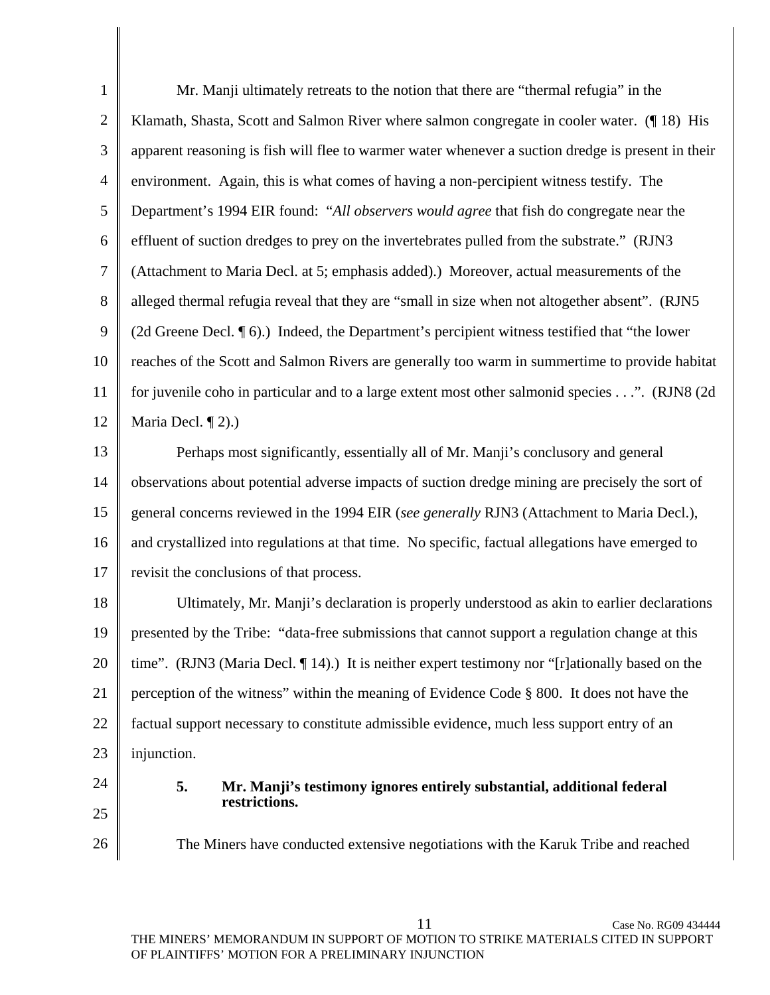1 2 3 4 5 6 7 8 9 10 11 12 Mr. Manji ultimately retreats to the notion that there are "thermal refugia" in the Klamath, Shasta, Scott and Salmon River where salmon congregate in cooler water. (¶ 18) His apparent reasoning is fish will flee to warmer water whenever a suction dredge is present in their environment. Again, this is what comes of having a non-percipient witness testify. The Department's 1994 EIR found: "*All observers would agree* that fish do congregate near the effluent of suction dredges to prey on the invertebrates pulled from the substrate." (RJN3 (Attachment to Maria Decl. at 5; emphasis added).) Moreover, actual measurements of the alleged thermal refugia reveal that they are "small in size when not altogether absent". (RJN5 (2d Greene Decl. ¶ 6).) Indeed, the Department's percipient witness testified that "the lower reaches of the Scott and Salmon Rivers are generally too warm in summertime to provide habitat for juvenile coho in particular and to a large extent most other salmonid species . . .". (RJN8 (2d Maria Decl. ¶ 2).)

13 14 15 16 17 Perhaps most significantly, essentially all of Mr. Manji's conclusory and general observations about potential adverse impacts of suction dredge mining are precisely the sort of general concerns reviewed in the 1994 EIR (*see generally* RJN3 (Attachment to Maria Decl.), and crystallized into regulations at that time. No specific, factual allegations have emerged to revisit the conclusions of that process.

18 19 20 21 22 23 Ultimately, Mr. Manji's declaration is properly understood as akin to earlier declarations presented by the Tribe: "data-free submissions that cannot support a regulation change at this time". (RJN3 (Maria Decl. ¶ 14).) It is neither expert testimony nor "[r]ationally based on the perception of the witness" within the meaning of Evidence Code § 800. It does not have the factual support necessary to constitute admissible evidence, much less support entry of an injunction.

24 25

26

**5. Mr. Manji's testimony ignores entirely substantial, additional federal restrictions.** 

The Miners have conducted extensive negotiations with the Karuk Tribe and reached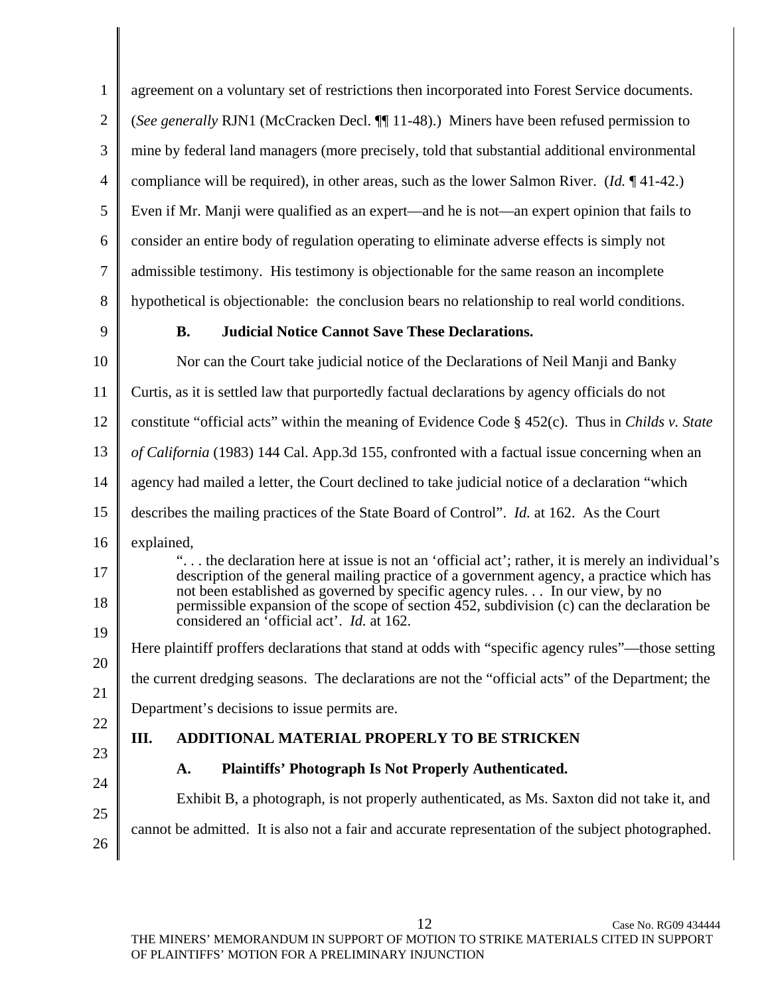| $\mathbf{1}$   | agreement on a voluntary set of restrictions then incorporated into Forest Service documents.                                                                                                                                                                              |  |  |
|----------------|----------------------------------------------------------------------------------------------------------------------------------------------------------------------------------------------------------------------------------------------------------------------------|--|--|
| $\overline{2}$ | (See generally RJN1 (McCracken Decl. ¶ 11-48).) Miners have been refused permission to                                                                                                                                                                                     |  |  |
| 3              | mine by federal land managers (more precisely, told that substantial additional environmental                                                                                                                                                                              |  |  |
| 4              | compliance will be required), in other areas, such as the lower Salmon River. ( <i>Id.</i> $\P$ 41-42.)                                                                                                                                                                    |  |  |
| 5              | Even if Mr. Manji were qualified as an expert—and he is not—an expert opinion that fails to                                                                                                                                                                                |  |  |
| 6              | consider an entire body of regulation operating to eliminate adverse effects is simply not                                                                                                                                                                                 |  |  |
| $\tau$         | admissible testimony. His testimony is objectionable for the same reason an incomplete                                                                                                                                                                                     |  |  |
| 8              | hypothetical is objectionable: the conclusion bears no relationship to real world conditions.                                                                                                                                                                              |  |  |
| 9              | <b>B.</b><br><b>Judicial Notice Cannot Save These Declarations.</b>                                                                                                                                                                                                        |  |  |
| 10             | Nor can the Court take judicial notice of the Declarations of Neil Manji and Banky                                                                                                                                                                                         |  |  |
| 11             | Curtis, as it is settled law that purportedly factual declarations by agency officials do not                                                                                                                                                                              |  |  |
| 12             | constitute "official acts" within the meaning of Evidence Code $\S$ 452(c). Thus in <i>Childs v. State</i>                                                                                                                                                                 |  |  |
| 13             | of California (1983) 144 Cal. App.3d 155, confronted with a factual issue concerning when an                                                                                                                                                                               |  |  |
| 14             | agency had mailed a letter, the Court declined to take judicial notice of a declaration "which                                                                                                                                                                             |  |  |
| 15             | describes the mailing practices of the State Board of Control". <i>Id.</i> at 162. As the Court                                                                                                                                                                            |  |  |
| 16             | explained,                                                                                                                                                                                                                                                                 |  |  |
| 17             | " the declaration here at issue is not an 'official act'; rather, it is merely an individual's<br>description of the general mailing practice of a government agency, a practice which has<br>not been established as governed by specific agency rules In our view, by no |  |  |
| 18<br>19       | permissible expansion of the scope of section 452, subdivision (c) can the declaration be<br>considered an 'official act'. Id. at 162.                                                                                                                                     |  |  |
| 20             | Here plaintiff proffers declarations that stand at odds with "specific agency rules"—those setting                                                                                                                                                                         |  |  |
| 21             | the current dredging seasons. The declarations are not the "official acts" of the Department; the                                                                                                                                                                          |  |  |
| 22             | Department's decisions to issue permits are.                                                                                                                                                                                                                               |  |  |
| 23             | Ш.<br>ADDITIONAL MATERIAL PROPERLY TO BE STRICKEN                                                                                                                                                                                                                          |  |  |
| 24             | <b>Plaintiffs' Photograph Is Not Properly Authenticated.</b><br>A.                                                                                                                                                                                                         |  |  |
| 25             | Exhibit B, a photograph, is not properly authenticated, as Ms. Saxton did not take it, and                                                                                                                                                                                 |  |  |
| 26             | cannot be admitted. It is also not a fair and accurate representation of the subject photographed.                                                                                                                                                                         |  |  |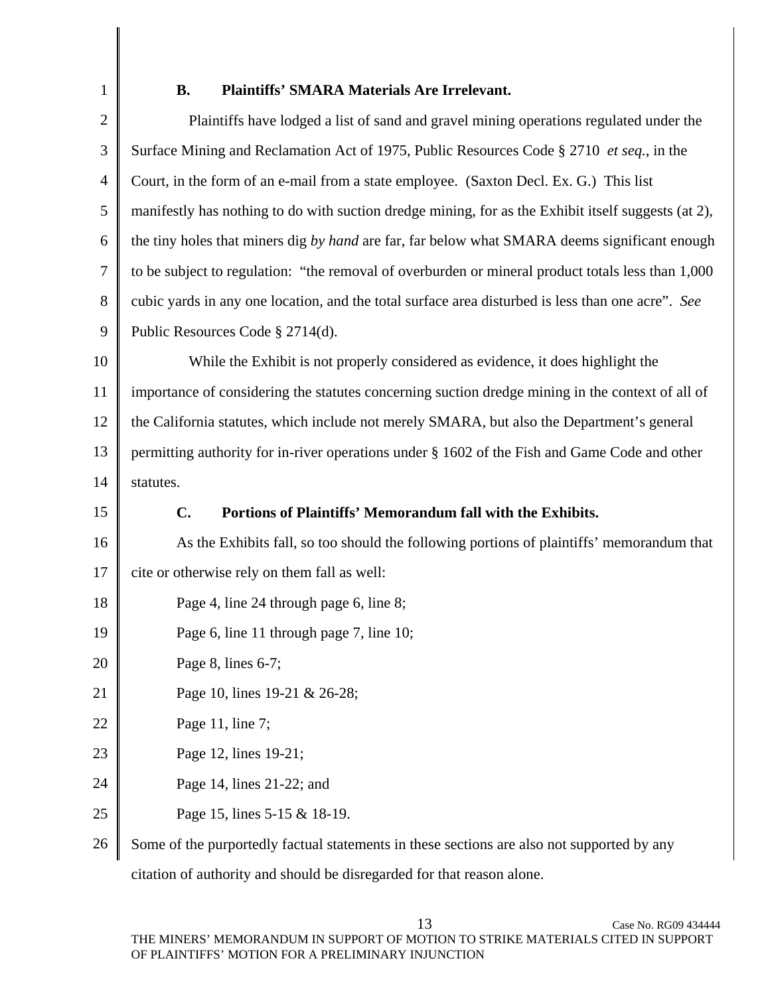1

## **B. Plaintiffs' SMARA Materials Are Irrelevant.**

| $\overline{2}$ | Plaintiffs have lodged a list of sand and gravel mining operations regulated under the              |
|----------------|-----------------------------------------------------------------------------------------------------|
| 3              | Surface Mining and Reclamation Act of 1975, Public Resources Code § 2710 et seq., in the            |
| 4              | Court, in the form of an e-mail from a state employee. (Saxton Decl. Ex. G.) This list              |
| 5              | manifestly has nothing to do with suction dredge mining, for as the Exhibit itself suggests (at 2), |
| 6              | the tiny holes that miners dig by hand are far, far below what SMARA deems significant enough       |
| 7              | to be subject to regulation: "the removal of overburden or mineral product totals less than 1,000   |
| 8              | cubic yards in any one location, and the total surface area disturbed is less than one acre". See   |
| 9              | Public Resources Code § 2714(d).                                                                    |
| 10             | While the Exhibit is not properly considered as evidence, it does highlight the                     |
| 11             | importance of considering the statutes concerning suction dredge mining in the context of all of    |
| 12             | the California statutes, which include not merely SMARA, but also the Department's general          |
| 13             | permitting authority for in-river operations under § 1602 of the Fish and Game Code and other       |
| 14             | statutes.                                                                                           |
| 15             | Portions of Plaintiffs' Memorandum fall with the Exhibits.<br>C.                                    |
| 16             | As the Exhibits fall, so too should the following portions of plaintiffs' memorandum that           |
| 17             | cite or otherwise rely on them fall as well:                                                        |
| 18             | Page 4, line 24 through page 6, line 8;                                                             |
| 19             | Page 6, line 11 through page 7, line 10;                                                            |
| 20             | Page 8, lines $6-7$ ;                                                                               |
| 21             | Page 10, lines 19-21 & 26-28;                                                                       |
| 22             | Page 11, line 7;                                                                                    |
| 23             | Page 12, lines 19-21;                                                                               |
| 24             | Page 14, lines 21-22; and                                                                           |
| 25             | Page 15, lines 5-15 & 18-19.                                                                        |
| 26             | Some of the purportedly factual statements in these sections are also not supported by any          |

citation of authority and should be disregarded for that reason alone.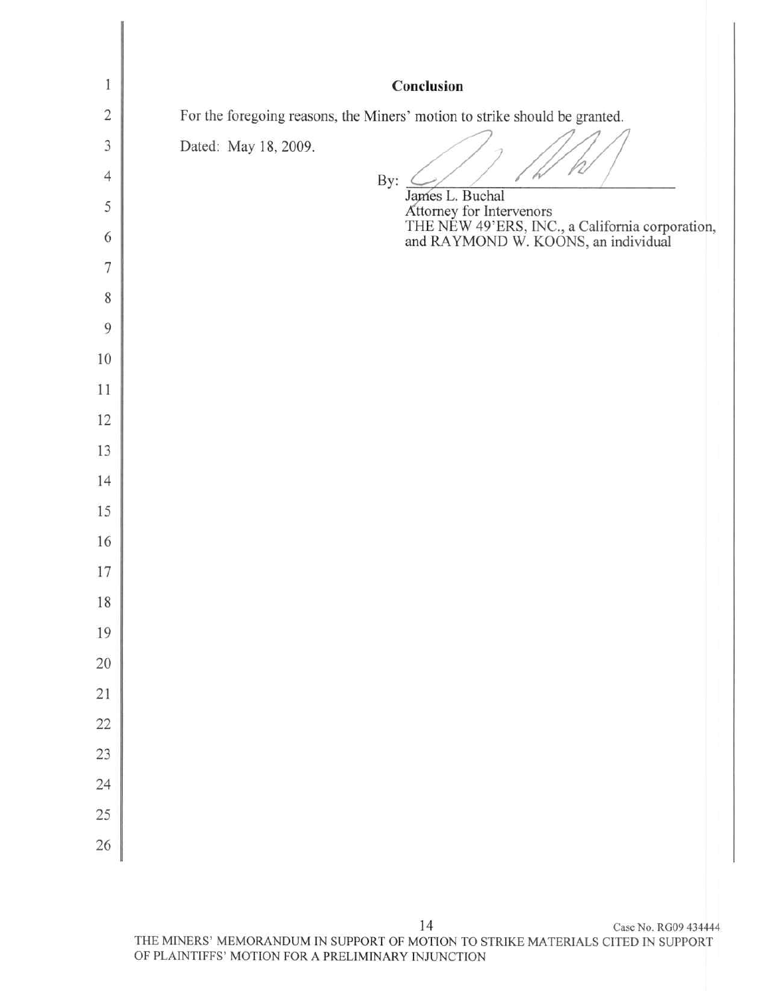| 1                   | Conclusion                                                                                                         |
|---------------------|--------------------------------------------------------------------------------------------------------------------|
| $\overline{c}$      | For the foregoing reasons, the Miners' motion to strike should be granted.                                         |
| 3<br>$\overline{4}$ | Dated: May 18, 2009.<br>By:                                                                                        |
| 5                   | James L. Buchal                                                                                                    |
| 6                   | Attorney for Intervenors<br>THE NEW 49'ERS, INC., a California corporation,<br>and RAYMOND W. KOONS, an individual |
| 7                   |                                                                                                                    |
| 8                   |                                                                                                                    |
| 9                   |                                                                                                                    |
| 10                  |                                                                                                                    |
| 11                  |                                                                                                                    |
| 12                  |                                                                                                                    |
| 13                  |                                                                                                                    |
| 14                  |                                                                                                                    |
| 15                  |                                                                                                                    |
| 16                  |                                                                                                                    |
| 17                  |                                                                                                                    |
| 18                  |                                                                                                                    |
| 19                  |                                                                                                                    |
| 20                  |                                                                                                                    |
| $\overline{21}$     |                                                                                                                    |
| 22                  |                                                                                                                    |
| 23                  |                                                                                                                    |
| 24                  |                                                                                                                    |
| 25                  |                                                                                                                    |
| 26                  |                                                                                                                    |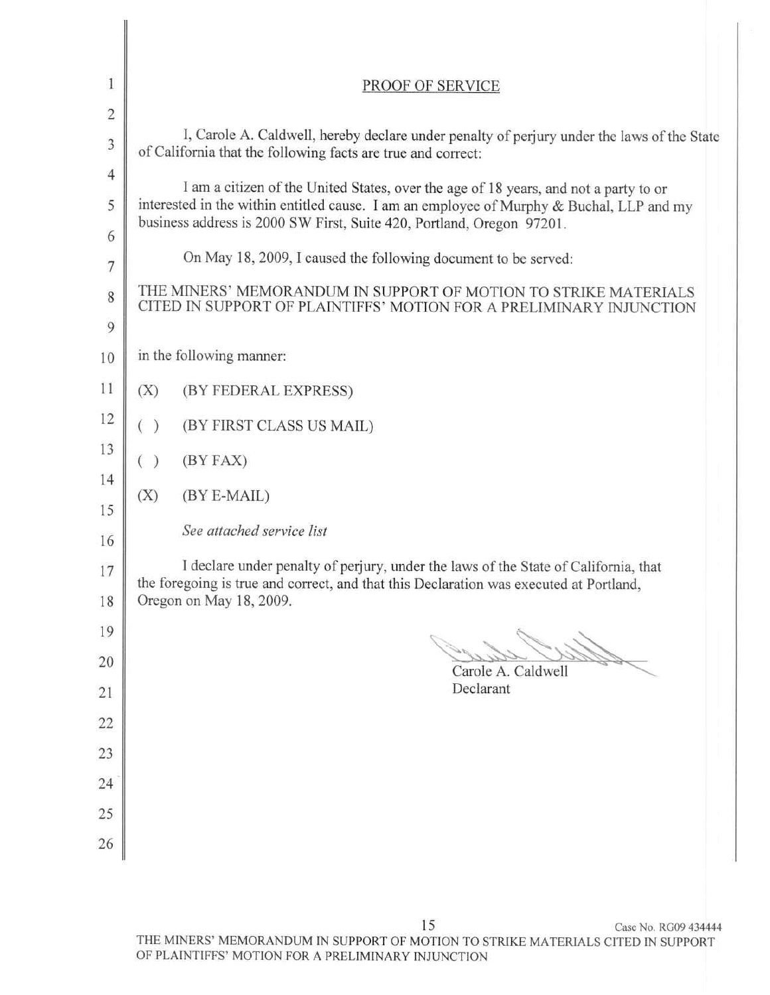| 1<br>$\overline{2}$ | PROOF OF SERVICE                                                                                                                                                                                                                                          |  |  |
|---------------------|-----------------------------------------------------------------------------------------------------------------------------------------------------------------------------------------------------------------------------------------------------------|--|--|
| 3                   | I, Carole A. Caldwell, hereby declare under penalty of perjury under the laws of the State<br>of California that the following facts are true and correct:                                                                                                |  |  |
| 4<br>5<br>6         | I am a citizen of the United States, over the age of 18 years, and not a party to or<br>interested in the within entitled cause. I am an employee of Murphy & Buchal, LLP and my<br>business address is 2000 SW First, Suite 420, Portland, Oregon 97201. |  |  |
| 7<br>8<br>9         | On May 18, 2009, I caused the following document to be served:<br>THE MINERS' MEMORANDUM IN SUPPORT OF MOTION TO STRIKE MATERIALS<br>CITED IN SUPPORT OF PLAINTIFFS' MOTION FOR A PRELIMINARY INJUNCTION                                                  |  |  |
| 10                  | in the following manner:                                                                                                                                                                                                                                  |  |  |
| 11                  | (X)<br>(BY FEDERAL EXPRESS)                                                                                                                                                                                                                               |  |  |
| 12                  | ( )<br>(BY FIRST CLASS US MAIL)                                                                                                                                                                                                                           |  |  |
| 13                  | (BY FAX)<br>$($ )                                                                                                                                                                                                                                         |  |  |
| 14<br>15            | (X)<br>(BY E-MAIL)                                                                                                                                                                                                                                        |  |  |
| 16                  | See attached service list                                                                                                                                                                                                                                 |  |  |
| 17<br>18            | I declare under penalty of perjury, under the laws of the State of California, that<br>the foregoing is true and correct, and that this Declaration was executed at Portland,<br>Oregon on May 18, 2009.                                                  |  |  |
| 19                  |                                                                                                                                                                                                                                                           |  |  |
| 20                  | Carole A. Caldwell                                                                                                                                                                                                                                        |  |  |
| 21                  | Declarant                                                                                                                                                                                                                                                 |  |  |
| 22                  |                                                                                                                                                                                                                                                           |  |  |
| 23                  |                                                                                                                                                                                                                                                           |  |  |
| 24                  |                                                                                                                                                                                                                                                           |  |  |
| 25<br>26            |                                                                                                                                                                                                                                                           |  |  |